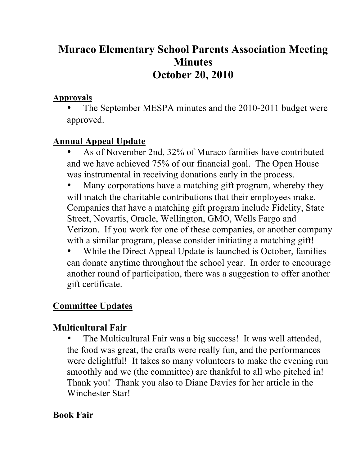# **Muraco Elementary School Parents Association Meeting Minutes October 20, 2010**

#### **Approvals**

The September MESPA minutes and the 2010-2011 budget were approved.

### **Annual Appeal Update**

- As of November 2nd, 32% of Muraco families have contributed and we have achieved 75% of our financial goal. The Open House was instrumental in receiving donations early in the process.
- Many corporations have a matching gift program, whereby they will match the charitable contributions that their employees make. Companies that have a matching gift program include Fidelity, State Street, Novartis, Oracle, Wellington, GMO, Wells Fargo and Verizon. If you work for one of these companies, or another company with a similar program, please consider initiating a matching gift!
- While the Direct Appeal Update is launched is October, families can donate anytime throughout the school year. In order to encourage another round of participation, there was a suggestion to offer another gift certificate.

## **Committee Updates**

## **Multicultural Fair**

The Multicultural Fair was a big success! It was well attended, the food was great, the crafts were really fun, and the performances were delightful! It takes so many volunteers to make the evening run smoothly and we (the committee) are thankful to all who pitched in! Thank you! Thank you also to Diane Davies for her article in the Winchester Star!

### **Book Fair**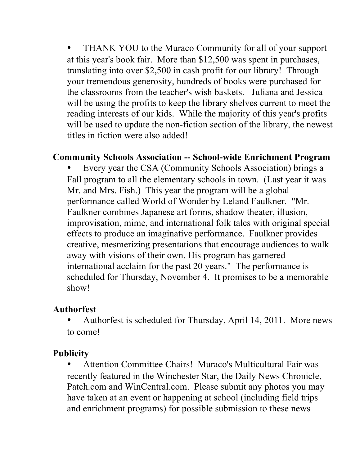• THANK YOU to the Muraco Community for all of your support at this year's book fair. More than \$12,500 was spent in purchases, translating into over \$2,500 in cash profit for our library! Through your tremendous generosity, hundreds of books were purchased for the classrooms from the teacher's wish baskets. Juliana and Jessica will be using the profits to keep the library shelves current to meet the reading interests of our kids. While the majority of this year's profits will be used to update the non-fiction section of the library, the newest titles in fiction were also added!

#### **Community Schools Association -- School-wide Enrichment Program**

• Every year the CSA (Community Schools Association) brings a Fall program to all the elementary schools in town. (Last year it was Mr. and Mrs. Fish.) This year the program will be a global performance called World of Wonder by Leland Faulkner. "Mr. Faulkner combines Japanese art forms, shadow theater, illusion, improvisation, mime, and international folk tales with original special effects to produce an imaginative performance. Faulkner provides creative, mesmerizing presentations that encourage audiences to walk away with visions of their own. His program has garnered international acclaim for the past 20 years." The performance is scheduled for Thursday, November 4. It promises to be a memorable show!

#### **Authorfest**

• Authorfest is scheduled for Thursday, April 14, 2011. More news to come!

#### **Publicity**

• Attention Committee Chairs! Muraco's Multicultural Fair was recently featured in the Winchester Star, the Daily News Chronicle, Patch.com and WinCentral.com. Please submit any photos you may have taken at an event or happening at school (including field trips and enrichment programs) for possible submission to these news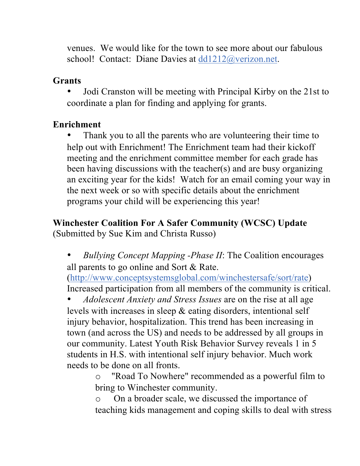venues. We would like for the town to see more about our fabulous school! Contact: Diane Davies at dd1212@verizon.net.

### **Grants**

• Jodi Cranston will be meeting with Principal Kirby on the 21st to coordinate a plan for finding and applying for grants.

## **Enrichment**

• Thank you to all the parents who are volunteering their time to help out with Enrichment! The Enrichment team had their kickoff meeting and the enrichment committee member for each grade has been having discussions with the teacher(s) and are busy organizing an exciting year for the kids! Watch for an email coming your way in the next week or so with specific details about the enrichment programs your child will be experiencing this year!

## **Winchester Coalition For A Safer Community (WCSC) Update** (Submitted by Sue Kim and Christa Russo)

• *Bullying Concept Mapping -Phase II*: The Coalition encourages all parents to go online and Sort & Rate.

(http://www.conceptsystemsglobal.com/winchestersafe/sort/rate) Increased participation from all members of the community is critical.

• *Adolescent Anxiety and Stress Issues* are on the rise at all age levels with increases in sleep & eating disorders, intentional self injury behavior, hospitalization. This trend has been increasing in town (and across the US) and needs to be addressed by all groups in our community. Latest Youth Risk Behavior Survey reveals 1 in 5 students in H.S. with intentional self injury behavior. Much work needs to be done on all fronts.

o "Road To Nowhere" recommended as a powerful film to bring to Winchester community.

o On a broader scale, we discussed the importance of teaching kids management and coping skills to deal with stress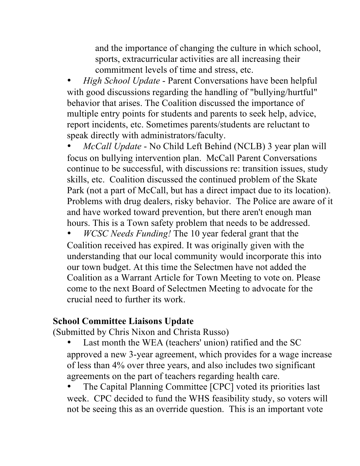and the importance of changing the culture in which school, sports, extracurricular activities are all increasing their commitment levels of time and stress, etc.

• *High School Update* - Parent Conversations have been helpful with good discussions regarding the handling of "bullying/hurtful" behavior that arises. The Coalition discussed the importance of multiple entry points for students and parents to seek help, advice, report incidents, etc. Sometimes parents/students are reluctant to speak directly with administrators/faculty.

• *McCall Update* - No Child Left Behind (NCLB) 3 year plan will focus on bullying intervention plan. McCall Parent Conversations continue to be successful, with discussions re: transition issues, study skills, etc. Coalition discussed the continued problem of the Skate Park (not a part of McCall, but has a direct impact due to its location). Problems with drug dealers, risky behavior. The Police are aware of it and have worked toward prevention, but there aren't enough man hours. This is a Town safety problem that needs to be addressed.

• *WCSC Needs Funding!* The 10 year federal grant that the Coalition received has expired. It was originally given with the understanding that our local community would incorporate this into our town budget. At this time the Selectmen have not added the Coalition as a Warrant Article for Town Meeting to vote on. Please come to the next Board of Selectmen Meeting to advocate for the crucial need to further its work.

#### **School Committee Liaisons Update**

(Submitted by Chris Nixon and Christa Russo)

- Last month the WEA (teachers' union) ratified and the SC approved a new 3-year agreement, which provides for a wage increase of less than 4% over three years, and also includes two significant agreements on the part of teachers regarding health care.
- The Capital Planning Committee [CPC] voted its priorities last week. CPC decided to fund the WHS feasibility study, so voters will not be seeing this as an override question. This is an important vote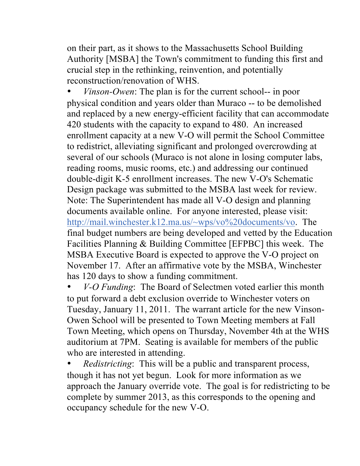on their part, as it shows to the Massachusetts School Building Authority [MSBA] the Town's commitment to funding this first and crucial step in the rethinking, reinvention, and potentially reconstruction/renovation of WHS.

• *Vinson-Owen*: The plan is for the current school-- in poor physical condition and years older than Muraco -- to be demolished and replaced by a new energy-efficient facility that can accommodate 420 students with the capacity to expand to 480. An increased enrollment capacity at a new V-O will permit the School Committee to redistrict, alleviating significant and prolonged overcrowding at several of our schools (Muraco is not alone in losing computer labs, reading rooms, music rooms, etc.) and addressing our continued double-digit K-5 enrollment increases. The new V-O's Schematic Design package was submitted to the MSBA last week for review. Note: The Superintendent has made all V-O design and planning documents available online. For anyone interested, please visit: http://mail.winchester.k12.ma.us/~wps/vo%20documents/vo. The final budget numbers are being developed and vetted by the Education Facilities Planning & Building Committee [EFPBC] this week. The MSBA Executive Board is expected to approve the V-O project on November 17. After an affirmative vote by the MSBA, Winchester has 120 days to show a funding commitment.

• *V-O Funding*: The Board of Selectmen voted earlier this month to put forward a debt exclusion override to Winchester voters on Tuesday, January 11, 2011. The warrant article for the new Vinson-Owen School will be presented to Town Meeting members at Fall Town Meeting, which opens on Thursday, November 4th at the WHS auditorium at 7PM. Seating is available for members of the public who are interested in attending.

• *Redistricting*: This will be a public and transparent process, though it has not yet begun. Look for more information as we approach the January override vote. The goal is for redistricting to be complete by summer 2013, as this corresponds to the opening and occupancy schedule for the new V-O.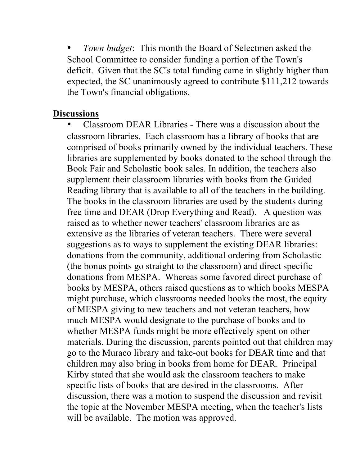• *Town budget*: This month the Board of Selectmen asked the School Committee to consider funding a portion of the Town's deficit. Given that the SC's total funding came in slightly higher than expected, the SC unanimously agreed to contribute \$111,212 towards the Town's financial obligations.

#### **Discussions**

• Classroom DEAR Libraries - There was a discussion about the classroom libraries. Each classroom has a library of books that are comprised of books primarily owned by the individual teachers. These libraries are supplemented by books donated to the school through the Book Fair and Scholastic book sales. In addition, the teachers also supplement their classroom libraries with books from the Guided Reading library that is available to all of the teachers in the building. The books in the classroom libraries are used by the students during free time and DEAR (Drop Everything and Read). A question was raised as to whether newer teachers' classroom libraries are as extensive as the libraries of veteran teachers. There were several suggestions as to ways to supplement the existing DEAR libraries: donations from the community, additional ordering from Scholastic (the bonus points go straight to the classroom) and direct specific donations from MESPA. Whereas some favored direct purchase of books by MESPA, others raised questions as to which books MESPA might purchase, which classrooms needed books the most, the equity of MESPA giving to new teachers and not veteran teachers, how much MESPA would designate to the purchase of books and to whether MESPA funds might be more effectively spent on other materials. During the discussion, parents pointed out that children may go to the Muraco library and take-out books for DEAR time and that children may also bring in books from home for DEAR. Principal Kirby stated that she would ask the classroom teachers to make specific lists of books that are desired in the classrooms. After discussion, there was a motion to suspend the discussion and revisit the topic at the November MESPA meeting, when the teacher's lists will be available. The motion was approved.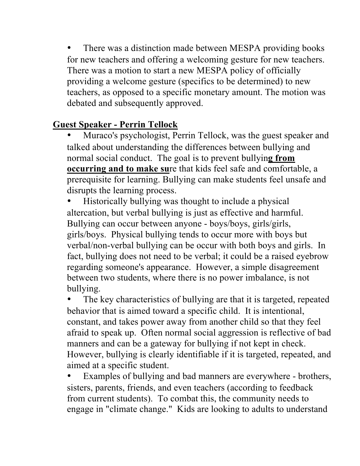There was a distinction made between MESPA providing books for new teachers and offering a welcoming gesture for new teachers. There was a motion to start a new MESPA policy of officially providing a welcome gesture (specifics to be determined) to new teachers, as opposed to a specific monetary amount. The motion was debated and subsequently approved.

#### **Guest Speaker - Perrin Tellock**

• Muraco's psychologist, Perrin Tellock, was the guest speaker and talked about understanding the differences between bullying and normal social conduct. The goal is to prevent bullyin**g from occurring and to make su**re that kids feel safe and comfortable, a prerequisite for learning. Bullying can make students feel unsafe and disrupts the learning process.

• Historically bullying was thought to include a physical altercation, but verbal bullying is just as effective and harmful. Bullying can occur between anyone - boys/boys, girls/girls, girls/boys. Physical bullying tends to occur more with boys but verbal/non-verbal bullying can be occur with both boys and girls. In fact, bullying does not need to be verbal; it could be a raised eyebrow regarding someone's appearance. However, a simple disagreement between two students, where there is no power imbalance, is not bullying.

The key characteristics of bullying are that it is targeted, repeated behavior that is aimed toward a specific child. It is intentional, constant, and takes power away from another child so that they feel afraid to speak up. Often normal social aggression is reflective of bad manners and can be a gateway for bullying if not kept in check. However, bullying is clearly identifiable if it is targeted, repeated, and aimed at a specific student.

Examples of bullying and bad manners are everywhere - brothers, sisters, parents, friends, and even teachers (according to feedback from current students). To combat this, the community needs to engage in "climate change." Kids are looking to adults to understand